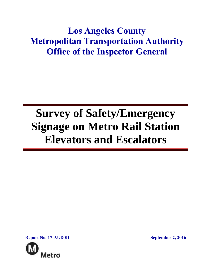## **Los Angeles County Metropolitan Transportation Authority Office of the Inspector General**

# **Survey of Safety/Emergency Signage on Metro Rail Station Elevators and Escalators**

**Report No. 17-AUD-01 September 2, 2016**

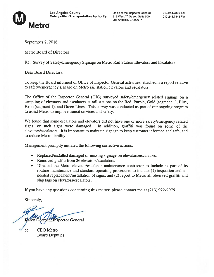

Los Angeles, CA 90017

September 2, 2016

Metro Board of Directors

Re: Survey of Safety/Emergency Signage on Metro Rail Station Elevators and Escalators

Dear Board Directors:

To keep the Board informed of Office of Inspector General activities, attached is <sup>a</sup> repor<sup>t</sup> relative to safety/emergency signage on Metro rail station elevators and escalators.

The Office of the Inspector General (OIG) surveyed safety/emergency related signage on <sup>a</sup> sampling of elevators and escalators at rail stations on the Red, Purple, Gold (segment 1), Blue, Expo (segment 1), and Green Lines. This survey was conducted as par<sup>t</sup> of our ongoing program to assist Metro to improve transit services and safety.

We found that some escalators and elevators did not have one or more safety/emergency related signs, or such signs were damaged. In addition, graffiti was found on some of the elevators/escalators. It is important to maintain signage to keep customer informed and safe, and to reduce Metro liability.

Management promptly initiated the following corrective actions:

- Replaced/installed damaged or missing signage on elevators/escalators.
- •Removed graffiti from 26 elevators/escalators.
- • Directed the Metro elevator/escalator maintenance contractor to include as par<sup>t</sup> of its routine maintenance and standard operating procedures to include (1) inspection and asneeded replacement/installation of signs, and (2) repor<sup>t</sup> to Metro all observed graffiti and slap tags on elevators/escalators.

If you have any questions concerning this matter, please contact me at (213) 922-2975.

Sincerely,

**Inspector General** 

cc: CEO Metro Board Deputies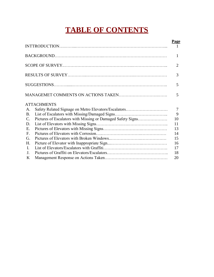## **TABLE OF CONTENTS**

|                 |                                                             | <b>Page</b>    |
|-----------------|-------------------------------------------------------------|----------------|
|                 |                                                             |                |
|                 |                                                             | 2              |
|                 |                                                             | 3              |
|                 |                                                             | 5              |
|                 |                                                             | 5              |
|                 | <b>ATTACHMENTS</b>                                          |                |
| A.              | Safety Related Signage on Metro Elevators/Escalators        | $\overline{7}$ |
| <b>B.</b>       |                                                             | 9              |
| $\mathcal{C}$ . | Pictures of Escalators with Missing or Damaged Safety Signs | 10             |
| D.              |                                                             | 11             |
| E.              |                                                             | 13             |
| $F_{\cdot}$     |                                                             | 14             |
| G.              |                                                             | 15             |
| H.              |                                                             | 16             |
| $\mathbf{I}$ .  |                                                             | 17             |
| J <sub>1</sub>  |                                                             | 18             |
| K               |                                                             | 20             |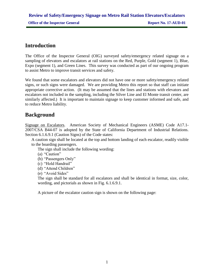## **Introduction**

The Office of the Inspector General (OIG) surveyed safety/emergency related signage on a sampling of elevators and escalators at rail stations on the Red, Purple, Gold (segment 1), Blue, Expo (segment 1), and Green Lines. This survey was conducted as part of our ongoing program to assist Metro to improve transit services and safety.

We found that some escalators and elevators did not have one or more safety/emergency related signs, or such signs were damaged. We are providing Metro this report so that staff can initiate appropriate corrective action. (It may be assumed that the lines and stations with elevators and escalators not included in the sampling, including the Silver Line and El Monte transit center, are similarly affected.) It is important to maintain signage to keep customer informed and safe, and to reduce Metro liability.

## **Background**

Signage on Escalators.American Society of Mechanical Engineers (ASME) Code A17.1- 2007/CSA B44-07 is adopted by the State of California Department of Industrial Relations. Section 6.1.6.9.1 (Caution Signs) of the Code states:

A caution sign shall be located at the top and bottom landing of each escalator, readily visible to the boarding passengers.

The sign shall include the following wording:

(a) "Caution"

- (b) "Passengers Only"
- (c) "Hold Handrail"
- (d) "Attend Children"

(e) "Avoid Sides"

The sign shall be standard for all escalators and shall be identical in format, size, color, wording, and pictorials as shown in Fig. 6.1.6.9.1.

A picture of the escalator caution sign is shown on the following page: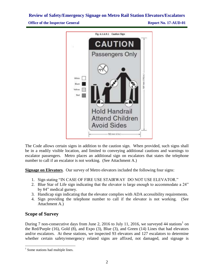**Office of the Inspector General <b>Report No. 17-AUD-01** 



The Code allows certain signs in addition to the caution sign. When provided, such signs shall be in a readily visible location, and limited to conveying additional cautions and warnings to escalator passengers. Metro places an additional sign on escalators that states the telephone number to call if an escalator is not working. (See Attachment A.)

**Signage on Elevators**. Our survey of Metro elevators included the following four signs:

- 1. Sign stating "IN CASE OF FIRE USE STAIRWAY DO NOT USE ELEVATOR."
- 2. Blue Star of Life sign indicating that the elevator is large enough to accommodate a 24" by 84" medical gurney.
- 3. Handicap sign indicating that the elevator complies with ADA accessibility requirements.
- 4. Sign providing the telephone number to call if the elevator is not working. (See Attachment A.)

#### **Scope of Survey**

 $\overline{\phantom{a}}$ 

During 7 non-consecutive days from June 2, 2016 to July 11, 2016, we surveyed 44 stations<sup>1</sup> on the Red/Purple (16), Gold (8), and Expo (3), Blue (3), and Green (14) Lines that had elevators and/or escalators. At these stations, we inspected 93 elevators and 127 escalators to determine whether certain safety/emergency related signs are affixed, not damaged, and signage is

<sup>&</sup>lt;sup>1</sup> Some stations had multiple lines.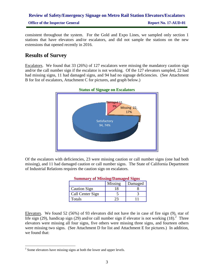**Office of the Inspector General <b>Report No. 17-AUD-01** 

consistent throughout the system. For the Gold and Expo Lines, we sampled only section 1 stations that have elevators and/or escalators, and did not sample the stations on the new extensions that opened recently in 2016.

## **Results of Survey**

Escalators. We found that 33 (26%) of 127 escalators were missing the mandatory caution sign and/or the call number sign if the escalator is not working. Of the 127 elevators sampled, 22 had had missing signs, 11 had damaged signs, and 94 had no signage deficiencies. (See Attachment B for list of escalators, Attachment C for pictures, and graph below.)



**Status of Signage on Escalators**

Of the escalators with deficiencies, 23 were missing caution or call number signs (one had both missing), and 11 had damaged caution or call number signs. The State of California Department of Industrial Relations requires the caution sign on escalators.

| <b>Summary of Missing/Damaged Signs</b> |         |         |
|-----------------------------------------|---------|---------|
|                                         | Missing | Damaged |
| <b>Caution Sign</b>                     |         |         |
| Call Center Sign                        |         |         |
| Totals                                  |         |         |

#### Elevators. We found 52 (56%) of 93 elevators did not have the in case of fire sign (9), star of life sign (29), handicap sign (29) and/or call number sign if elevator is not working  $(18)$ .<sup>2</sup> Three elevators were missing all four signs, five others were missing three signs, and fourteen others were missing two signs. (See Attachment D for list and Attachment E for pictures.) In addition, we found that:

 $\overline{\phantom{a}}$ 

 $2^{2}$  Some elevators have missing signs at both the lower and upper levels.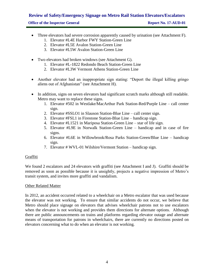#### **Office of the Inspector General <b>Report No. 17-AUD-01**

- Three elevators had severe corrosion apparently caused by urination (see Attachment F).
	- 1. Elevator #L4E Harbor FWY Station-Green Line
	- 2. Elevator #L5E Avalon Station-Green Line
	- 3. Elevator #L5W Avalon Station-Green Line
- Two elevators had broken windows (see Attachment G).
	- 1. Elevator #L-1822 Redondo Beach Station-Green Line
	- 2. Elevator #L3W Vermont Athens Station-Green Line
- Another elevator had an inappropriate sign stating: "Deport the illegal killing gringo aliens out of Afghanistan" (see Attachment H).
- In addition, signs on seven elevators had significant scratch marks although still readable. Metro may want to replace these signs.
	- 1. Elevator #502 in Westlake/MacArthur Park Station-Red/Purple Line call center sign.
	- 2. Elevator #SSLO1 in Slauson Station-Blue Line call center sign.
	- 3. Elevator #FSL1 in Firestone Station-Blue Line handicap sign.
	- 4. Elevator #L1521 in Mariposa Station-Green Line star of life sign.
	- 5. Elevator #L9E in Norwalk Station-Green Line handicap and in case of fire signs.
	- 6. Elevator #L6E in Willowbrook/Rosa Parks Station-Green/Blue Line handicap sign.
	- 7. Elevator # WVL-01 Wilshire/Vermont Station handicap sign.

#### Graffiti

We found 2 escalators and 24 elevators with graffiti (see Attachment I and J). Graffiti should be removed as soon as possible because it is unsightly, projects a negative impression of Metro's transit system, and invites more graffiti and vandalism.

#### Other Related Matter

In 2012, an accident occurred related to a wheelchair on a Metro escalator that was used because the elevator was not working. To ensure that similar accidents do not occur, we believe that Metro should place signage on elevators that advises wheelchair patrons not to use escalators when the elevator is not working and provides them directions for alternate options. Although there are public announcements on trains and platforms regarding elevator outage and alternate means of transportation for patrons in wheelchairs, there are currently no directions posted on elevators concerning what to do when an elevator is not working.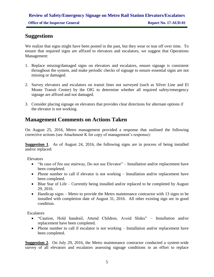### **Suggestions**

We realize that signs might have been posted in the past, but they wear or tear off over time. To ensure that required signs are affixed to elevators and escalators, we suggest that Operations Management:

- 1. Replace missing/damaged signs on elevators and escalators, ensure signage is consistent throughout the system, and make periodic checks of signage to ensure essential signs are not missing or damaged.
- 2. Survey elevators and escalators on transit lines not surveyed (such as Silver Line and El Monte Transit Center) by the OIG to determine whether all required safety/emergency signage are affixed and not damaged.
- 3. Consider placing signage on elevators that provides clear directions for alternate options if the elevator is not working.

## **Management Comments on Actions Taken**

On August 25, 2016, Metro management provided a response that outlined the following corrective actions (see Attachment K for copy of management's response):

**Suggestion 1**. As of August 24, 2016, the following signs are in process of being installed and/or replaced:

Elevators

- "In case of fire use stairway, Do not use Elevator" Installation and/or replacement have been completed.
- Phone number to call if elevator is not working Installation and/or replacement have been completed.
- Blue Star of Life Currently being installed and/or replaced to be completed by August 29, 2016.
- Handicap signs Metro to provide the Metro maintenance contractor with 13 signs to be installed with completion date of August 31, 2016. All other existing sign are in good condition.

**Escalators** 

- "Caution, Hold handrail, Attend Children, Avoid Slides" Installation and/or replacement have been completed.
- Phone number to call if escalator is not working Installation and/or replacement have been completed.

**Suggestion 2**. On July 29, 2016, the Metro maintenance contractor conducted a system-wide survey of all elevators and escalators assessing signage conditions in an effort to replace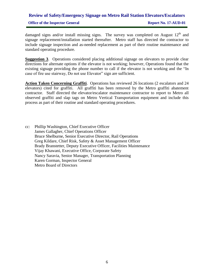## **Review of Safety/Emergency Signage on Metro Rail Station Elevators/Escalators Office of the Inspector General <b>Report No. 17-AUD-01**

damaged signs and/or install missing signs. The survey was completed on August  $12<sup>th</sup>$  and signage replacement/installation started thereafter. Metro staff has directed the contractor to include signage inspection and as-needed replacement as part of their routine maintenance and standard operating procedure.

**Suggestion 3**. Operations considered placing additional signage on elevators to provide clear directions for alternate options if the elevator is not working; however, Operations found that the existing signage providing the phone number to call if the elevator is not working and the "In case of fire use stairway, Do not use Elevator" sign are sufficient.

**Action Taken Concerning Graffiti**. Operations has reviewed 26 locations (2 escalators and 24 elevators) cited for graffiti. All graffiti has been removed by the Metro graffiti abatement contractor. Staff directed the elevator/escalator maintenance contractor to report to Metro all observed graffiti and slap tags on Metro Vertical Transportation equipment and include this process as part of their routine and standard operating procedures.

cc: Phillip Washington, Chief Executive Officer James Gallagher, Chief Operations Officer Bruce Shelburne, Senior Executive Director, Rail Operations Greg Kildare, Chief Risk, Safety & Asset Management Officer Brady Branstetter, Deputy Executive Officer, Facilities Maintenance Vijay Khawani, Executive Office, Corporate Safety Nancy Saravia, Senior Manager, Transportation Planning Karen Gorman, Inspector General Metro Board of Directors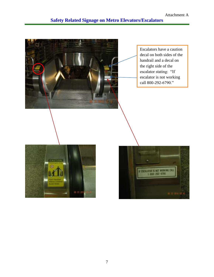

Escalators have a caution decal on both sides of the handrail and a decal on the right side of the escalator stating: "If escalator is not working call 800-292-6790."



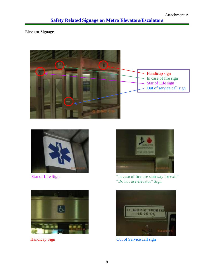## **Safety Related Signage on Metro Elevators/Escalators**

Elevator Signage









Star of Life Sign "In case of fire use stairway for exit" "Do not use elevator" Sign



Handicap Sign **Out of Service call sign**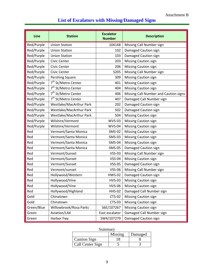## **List of Escalators with Missing/Damaged Signs**

| Line       | <b>Station</b>                  | <b>Escalator</b><br><b>Number</b> | <b>Description</b>                    |
|------------|---------------------------------|-----------------------------------|---------------------------------------|
| Red/Purple | <b>Union Station</b>            | 104148                            | Missing Call Number sign              |
| Red/Purple | <b>Union Station</b>            | 102                               | Damaged Caution sign                  |
| Red/Purple | <b>Union Station</b>            | 103                               | Damaged Caution sign                  |
| Red/Purple | Civic Center                    | 203                               | <b>Missing Caution sign</b>           |
| Red/Purple | Civic Center                    | 206                               | Missing Caution sign                  |
| Red/Purple | Civic Center                    | S205                              | Missing Call Number sign              |
| Red/Purple | Pershing Square                 | 309                               | <b>Missing Caution sign</b>           |
| Red/Purple | 7 <sup>th</sup> St/Metro Center | 401                               | Missing Caution sign                  |
| Red/Purple | 7 <sup>th</sup> St/Metro Center | 404                               | <b>Missing Caution sign</b>           |
| Red/Purple | 7 <sup>th</sup> St/Metro Center | 406                               | Missing Call Number and Caution signs |
| Red/Purple | 7 <sup>th</sup> St/Metro Center | 407                               | Damaged Call Number sign              |
| Red/Purple | Westlake/MacArthur Park         | 202                               | Damaged Caution sign                  |
| Red/Purple | Westlake/MacArthur Park         | 502                               | Damaged Caution sign                  |
| Red/Purple | Westlake/MacArthur Park         | 504                               | Missing Caution sign                  |
| Red/Purple | Wilshire/Vermont                | <b>WVS-03</b>                     | <b>Missing Caution sign</b>           |
| Red/Purple | Wilshire/Vermont                | <b>WVS-04</b>                     | <b>Missing Caution sign</b>           |
| Red        | Vermont/Santa Monica            | <b>SMS-02</b>                     | Missing Caution sign                  |
| Red        | Vermont/Santa Monica            | <b>SMS-03</b>                     | <b>Missing Caution sign</b>           |
| Red        | Vermont/Santa Monica            | <b>SMS-04</b>                     | Missing Caution sign                  |
| Red        | Vermont/Santa Monica            | <b>SMS-05</b>                     | Damaged Caution sign                  |
| Red        | Vermont/Sunset                  | <b>VSS-03</b>                     | Missing Call Number sign              |
| Red        | Vermont/Sunset                  | <b>VSS-04</b>                     | <b>Missing Caution sign</b>           |
| Red        | Vermont/Sunset                  | <b>VSS-05</b>                     | Damaged Caution sign                  |
| Red        | Vermont/sunset                  | <b>VSS-06</b>                     | Missing Call Number sign              |
| Red        | Hollywood/Western               | <b>HWS-02</b>                     | Damaged Caution sign                  |
| Red        | Hollywood/Vine                  | <b>HVS-03</b>                     | Missing Caution sign                  |
| Red        | Hollywood/Vine                  | <b>HVS-06</b>                     | Missing Caution sign                  |
| Red        | Hollywood/Highland              | <b>HHS-02</b>                     | Damaged Call Number sign              |
| Gold       | Chinatown                       | <b>CTS-02</b>                     | <b>Missing Caution sign</b>           |
| Gold       | Chinatown                       | <b>CTS-03</b>                     | <b>Missing Caution sign</b>           |
| Green/Blue | Willowbrook/Rosa Parks          | S6E/107267                        | <b>Missing Caution sign</b>           |
| Green      | Aviation/LAX                    | East escalator                    | Damaged Call Number sign              |
| Green      | Harbor Fwy                      | SW4/107279                        | Damaged Caution sign                  |

| Summary |  |
|---------|--|
|---------|--|

|                     | Missing | Damaged |
|---------------------|---------|---------|
| <b>Caution Sign</b> |         |         |
| Call Center Sign    |         |         |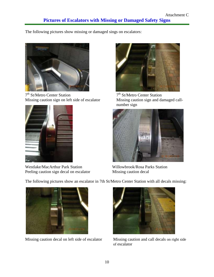The following pictures show missing or damaged sings on escalators:



7 th St/Metro Center Station 7 Missing caution sign on left side of escalator



Westlake/MacArthur Park Station Willowbrook/Rosa Parks Station<br>
Peeling caution sign decal on escalator Missing caution decal Peeling caution sign decal on escalator



 $7<sup>th</sup>$  St/Metro Center Station<br>Missing caution sign and damaged callnumber sign



The following pictures show an escalator in 7th St/Metro Center Station with all decals missing:



Missing caution decal on left side of escalator Missing caution and call decals on right side



of escalator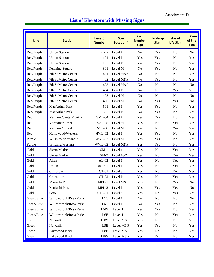| <b>Line</b> | <b>Station</b>         | <b>Elevator</b><br><b>Number</b> | <b>Sign</b><br>Location* | Call<br><b>Number</b><br><b>Sign</b> | <b>Handicap</b><br><b>Sign</b> | <b>Star of</b><br><b>Life Sign</b> | <b>In Case</b><br>of Fire<br><b>Sign</b> |
|-------------|------------------------|----------------------------------|--------------------------|--------------------------------------|--------------------------------|------------------------------------|------------------------------------------|
| Red/Purple  | <b>Union Station</b>   | Plaza                            | Level P                  | N <sub>o</sub>                       | Yes                            | N <sub>o</sub>                     | N <sub>o</sub>                           |
| Red/Purple  | <b>Union Station</b>   | 101                              | Level P                  | Yes                                  | Yes                            | N <sub>o</sub>                     | Yes                                      |
| Red/Purple  | <b>Union Station</b>   | 103                              | Level P                  | Yes                                  | Yes                            | N <sub>o</sub>                     | Yes                                      |
| Red/Purple  | Pershing Square        | 301                              | Level M                  | N <sub>o</sub>                       | Yes                            | N <sub>o</sub>                     | Yes                                      |
| Red/Purple  | 7th St/Metro Center    | 401                              | Level M&S                | N <sub>o</sub>                       | No                             | N <sub>o</sub>                     | Yes                                      |
| Red/Purple  | 7th St/Metro Center    | 402                              | Level M&P                | N <sub>o</sub>                       | Yes                            | N <sub>o</sub>                     | Yes                                      |
| Red/Purple  | 7th St/Metro Center    | 403                              | Level M&P                | N <sub>o</sub>                       | N <sub>o</sub>                 | N <sub>o</sub>                     | N <sub>o</sub>                           |
| Red/Purple  | 7th St/Metro Center    | 404                              | Level P                  | No                                   | N <sub>o</sub>                 | Yes                                | Yes                                      |
| Red/Purple  | 7th St/Metro Center    | 405                              | Level M                  | N <sub>o</sub>                       | N <sub>o</sub>                 | N <sub>o</sub>                     | N <sub>0</sub>                           |
| Red/Purple  | 7th St/Metro Center    | 406                              | Level M                  | No                                   | Yes                            | Yes                                | N <sub>0</sub>                           |
| Red/Purple  | <b>MacArthur Park</b>  | 501                              | Level P                  | Yes                                  | Yes                            | N <sub>o</sub>                     | Yes                                      |
| Red/Purple  | MacArthur Park         | 502                              | Level P                  | No                                   | Yes                            | N <sub>o</sub>                     | Yes                                      |
| Red         | Vermont/Santa Monica   | $SML-04$                         | Level P                  | Yes                                  | Yes                            | N <sub>o</sub>                     | Yes                                      |
| Red         | Vermont/Sunset         | <b>VSL-05</b>                    | Level M                  | Yes                                  | N <sub>o</sub>                 | Yes                                | Yes                                      |
| Red         | Vermont/Sunset         | <b>VSL-06</b>                    | Level M                  | Yes                                  | N <sub>o</sub>                 | Yes                                | Yes                                      |
| Red         | Hollywood/Western      | <b>HWL-02</b>                    | Level P                  | Yes                                  | Yes                            | N <sub>o</sub>                     | Yes                                      |
| Purple      | Wilshire/Normandie     | WNL-02                           | Level M                  | Yes                                  | Yes                            | N <sub>o</sub>                     | Yes                                      |
| Purple      | Wilshire/Western       | WWL-02                           | Level M&P                | Yes                                  | Yes                            | N <sub>o</sub>                     | Yes                                      |
| Gold        | Sierra Madre           | $SM-1$                           | Level 1                  | Yes                                  | No                             | Yes                                | Yes                                      |
| Gold        | Sierra Madre           | $SM-2$                           | Level 1&2                | Yes                                  | N <sub>o</sub>                 | Yes                                | Yes                                      |
| Gold        | Allen                  | $AL-02$                          | Level 1                  | Yes                                  | N <sub>o</sub>                 | Yes                                | Yes                                      |
| Gold        | Union                  | Union-1                          | Level 1                  | Yes                                  | N <sub>o</sub>                 | Yes                                | Yes                                      |
| Gold        | Chinatown              | $CT-01$                          | Level S                  | Yes                                  | N <sub>o</sub>                 | Yes                                | Yes                                      |
| Gold        | Chinatown              | $CT-02$                          | Level P                  | Yes                                  | N <sub>o</sub>                 | Yes                                | Yes                                      |
| Gold        | Mariachi Plaza         | $MPL-1$                          | Level M&P                | Yes                                  | N <sub>o</sub>                 | Yes                                | N <sub>0</sub>                           |
| Gold        | Mariachi Plaza         | $MPL-2$                          | Level P                  | Yes                                  | Yes                            | Yes                                | N <sub>0</sub>                           |
| Gold        | Soto                   | <b>STL-01</b>                    | Level S                  | Yes                                  | N <sub>o</sub>                 | Yes                                | Yes                                      |
| Green/Blue  | Willowbrook/Rosa Parks | L1C                              | Level 1                  | N <sub>o</sub>                       | No                             | No                                 | No                                       |
| Green/Blue  | Willowbrook/Rosa Parks | L <sub>6</sub> C                 | Level 1                  | N <sub>o</sub>                       | Yes                            | No                                 | Yes                                      |
| Green/Blue  | Willowbrook/Rosa Parks | L6W                              | Level 1                  | Yes                                  | Yes                            | N <sub>0</sub>                     | Yes                                      |
| Green/Blue  | Willowbrook/Rosa Parks | L6E                              | Level 1                  | Yes                                  | N <sub>o</sub>                 | Yes                                | Yes                                      |
| Green       | Norwalk                | L9W                              | Level M&P                | Yes                                  | N <sub>0</sub>                 | No                                 | Yes                                      |
| Green       | Norwalk                | L9E                              | Level M&P                | Yes                                  | Yes                            | No                                 | Yes                                      |
| Green       | Lakewood Blvd          | L8E                              | Level M&P                | Yes                                  | N <sub>0</sub>                 | No                                 | Yes                                      |
| Green       | Lakewood Blvd          | L8W                              | Level M&P                | Yes                                  | Yes                            | No                                 | Yes                                      |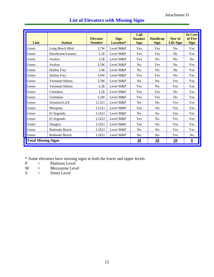Attachment D

| <b>Line</b>                | <b>Station</b>   | <b>Elevator</b><br><b>Number</b> | <b>Sign</b><br>Location* | <b>Call</b><br><b>Number</b><br><b>Sign</b> | <b>Handicap</b><br><b>Sign</b> | <b>Star of</b><br><b>Life Sign</b> | <b>In Case</b><br>of Fire<br><b>Sign</b> |
|----------------------------|------------------|----------------------------------|--------------------------|---------------------------------------------|--------------------------------|------------------------------------|------------------------------------------|
| Green                      | Long Beach Blvd  | L7W                              | Level M&P                | Yes                                         | Yes                            | No                                 | Yes                                      |
| Green                      | Hawthorne/Lennox | L1E                              | Level M&P                | Yes                                         | Yes                            | N <sub>0</sub>                     | Yes                                      |
| Green                      | Avalon           | L5E                              | Level M&P                | Yes                                         | N <sub>o</sub>                 | N <sub>o</sub>                     | N <sub>o</sub>                           |
| Green                      | Avalon           | L5W                              | Level M&P                | N <sub>o</sub>                              | Yes                            | N <sub>0</sub>                     | Yes                                      |
| Green                      | Harbor Fwy       | L4E                              | Level M&P                | No                                          | N <sub>0</sub>                 | No                                 | Yes                                      |
| Green                      | Harbor Fwy       | L <sub>4</sub> W                 | Level M&P                | Yes                                         | Yes                            | N <sub>0</sub>                     | Yes                                      |
| Green                      | Vermont/Athens   | L3W                              | Level M&P                | N <sub>o</sub>                              | N <sub>o</sub>                 | Yes                                | Yes                                      |
| Green                      | Vermont/Athens   | L3E                              | Level M&P                | Yes                                         | N <sub>0</sub>                 | Yes                                | Yes                                      |
| Green                      | Crenshaw         | L2E                              | Level M&P                | Yes                                         | Yes                            | N <sub>0</sub>                     | Yes                                      |
| Green                      | Crenshaw         | L2W                              | Level M&P                | Yes                                         | Yes                            | N <sub>0</sub>                     | Yes                                      |
| Green                      | Aviation/LAX     | L1321                            | Level M&P                | N <sub>o</sub>                              | N <sub>o</sub>                 | Yes                                | Yes                                      |
| Green                      | Mariposa         | L1521                            | Level M&P                | Yes                                         | N <sub>0</sub>                 | Yes                                | Yes                                      |
| Green                      | El Segundo       | L1621                            | Level M&P                | N <sub>o</sub>                              | N <sub>0</sub>                 | Yes                                | Yes                                      |
| Green                      | El Segundo       | L1622                            | Level M&P                | Yes                                         | N <sub>o</sub>                 | Yes                                | Yes                                      |
| Green                      | Douglas          | L1921                            | Level M&P                | Yes                                         | N <sub>0</sub>                 | Yes                                | Yes                                      |
| Green                      | Redondo Beach    | L1822                            | Level M&P                | N <sub>o</sub>                              | N <sub>0</sub>                 | Yes                                | Yes                                      |
| Green                      | Redondo Beach    | L1821                            | Level M&P                | N <sub>o</sub>                              | N <sub>0</sub>                 | Yes                                | No                                       |
| <b>Total Missing Signs</b> |                  |                                  |                          | <u>18</u>                                   | $\underline{29}$               | $\underline{29}$                   | $\overline{\mathbf{2}}$                  |

## **List of Elevators with Missing Signs**

\* Some elevators have missing signs at both the lower and upper levels.<br> $P =$  Platform Level

- $P =$  Platform Level<br>  $M =$  Mezzanine Leve
- $M =$  Mezzanine Level<br>S = Street Level
- $=$  Street Level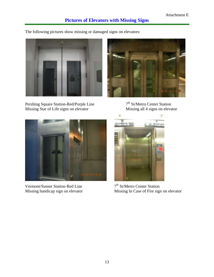The following pictures show missing or damaged signs on elevators:



Pershing Square Station-Red/Purple Line  $7^{\text{th}}$  St/Metro Center Station<br>Missing Star of Life signs on elevator Missing all 4 signs on elevator Missing Star of Life signs on elevator



7<sup>th</sup> St/Metro Center Station



Vermont/Sunset Station-Red Line<br>Missing handicap sign on elevator



7<sup>th</sup> St/Metro Center Station Missing In Case of Fire sign on elevator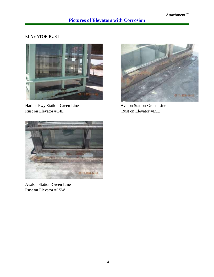#### ELAVATOR RUST:



Harbor Fwy Station-Green Line Avalon Station-Green Line Rust on Elevator #L4E Rust on Elevator #L5E





Avalon Station-Green Line Rust on Elevator #L5W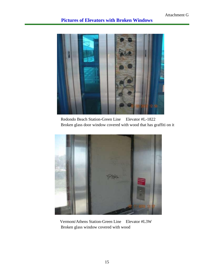### **Pictures of Elevators with Broken Windows**



 Redondo Beach Station-Green Line Elevator #L-1822 Broken glass door window covered with wood that has graffiti on it



Vermont/Athens Station-Green Line Elevator #L3W Broken glass window covered with wood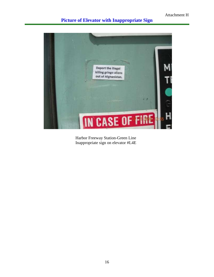## **Picture of Elevator with Inappropriate Sign**



Harbor Freeway Station-Green Line Inappropriate sign on elevator #L4E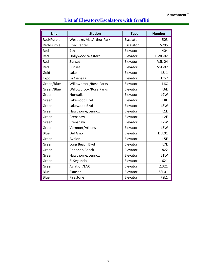| Line       | <b>Station</b>          | <b>Type</b> | <b>Number</b>    |
|------------|-------------------------|-------------|------------------|
| Red/Purple | Westlake/MacArthur Park | Escalator   | 503              |
| Red/Purple | Civic Center            | Escalator   | S205             |
| Red        | 7th                     | Elevator    | 404              |
| Red        | Hollywood Western       | Elevator    | <b>HWL-02</b>    |
| Red        | Sunset                  | Elevator    | <b>VSL-04</b>    |
| Red        | Sunset                  | Elevator    | <b>VSL-02</b>    |
| Gold       | Lake                    | Elevator    | $LS-1$           |
| Expo       | La Cienaga              | Elevator    | $LC-2$           |
| Green/Blue | Willowbrook/Rosa Parks  | Elevator    | L <sub>6</sub> C |
| Green/Blue | Willowbrook/Rosa Parks  | Elevator    | L6E              |
| Green      | Norwalk                 | Elevator    | L9W              |
| Green      | Lakewood Blvd           | Elevator    | L8E              |
| Green      | Lakewood Blvd           | Elevator    | L8W              |
| Green      | Hawthorne/Lennox        | Elevator    | L1E              |
| Green      | Crenshaw                | Elevator    | L <sub>2</sub> E |
| Green      | Crenshaw                | Elevator    | L <sub>2</sub> W |
| Green      | Vermont/Athens          | Elevator    | L3W              |
| Blue       | Del Amo                 | Elevator    | DEL01            |
| Green      | Avalon                  | Elevator    | L5E              |
| Green      | Long Beach Blvd         | Elevator    | L7E              |
| Green      | Redondo Beach           | Elevator    | L1822            |
| Green      | Hawthorne/Lennox        | Elevator    | L1W              |
| Green      | El Segundo              | Elevator    | L1621            |
| Green      | Aviation/LAX            | Elevator    | L1321            |
| Blue       | Slauson                 | Elevator    | <b>SSL01</b>     |
| Blue       | Firestone               | Elevator    | FSL1             |

## **List of Elevators/Escalators with Graffiti**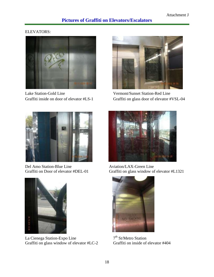#### ELEVATORS:



Lake Station-Gold Line Vermont/Sunset Station-Red Line



Graffiti inside on door of elevator #LS-1 Graffiti on glass door of elevator #VSL-04



Del Amo Station-Blue Line Aviation/LAX-Green Line



La Cienega Station-Expo Line  $7^{\text{th}}$  St/Metro Station<br>Graffiti on glass window of elevator #LC-2 Graffiti on inside of elevator #404 Graffiti on glass window of elevator  $#LC-2$ 



Graffiti on Door of elevator #DEL-01 Graffiti on glass window of elevator #L1321



 $7<sup>th</sup>$  St/Metro Station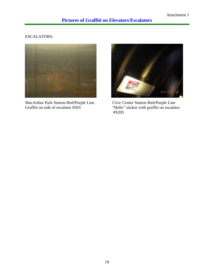#### ESCALATORS:



MacArthur Park Station-Red/Purple Line Civic Center Station-Red/Purple Line Graffiti on side of escalator #503 <br>
"Hello" sticker with graffiti on escalator



"Hello" sticker with graffiti on escalator #S205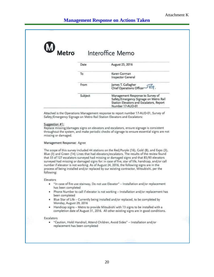| Metro               |         | Interoffice Memo                                                                                                                                                                        |
|---------------------|---------|-----------------------------------------------------------------------------------------------------------------------------------------------------------------------------------------|
|                     | Date    | August 25, 2016                                                                                                                                                                         |
|                     | To      | Karen Gorman<br>Inspector General                                                                                                                                                       |
|                     | From    | James T. Gallagher<br>G<br>Chief Operations Officer                                                                                                                                     |
|                     | Subject | Management Response to Survey of<br>Safety/Emergency Signage on Metro Rail<br>Station Elevators and Escalators, Report<br>Number 17-AUD-01                                              |
|                     |         |                                                                                                                                                                                         |
| Suggestion #1:      |         | Attached is the Operations Management response to report number 17-AUD-01, Survey of<br>Safety/Emergency Signage on Metro Rail Station Elevators and Escalators:                        |
| missing or damaged. |         | Replace missing/damages signs on elevators and escalators, ensure signage is consistent<br>throughout the system, and make periodic checks of signage to ensure essential signs are not |

surveyed had missing or damaged signs for: in case of fire, star of life, handicap, and/or call number if elevator is not working. As of August 24, 2016, the following signs are in the process of being installed and/or replaced by our existing contractor, Mitsubishi, per the following:

#### Elevators

- . "In case of fire use stairway, Do not use Elevator" Installation and/or replacement has been completed
- . Phone Number to call if elevator is not working Installation and/or replacement has been completed
- . Blue Star of Life Currently being installed and/or replaced, to be completed by Monday, August 29, 2016
- · Handicap signs Metro to provide Mitsubishi with 13 signs to be installed with a completion date of August 31, 2016. All other existing signs are in good conditions.

#### Escalators

"Caution, Hold Handrail, Attend Children, Avoid Sides" - Installation and/or  $\bullet$ replacement has been completed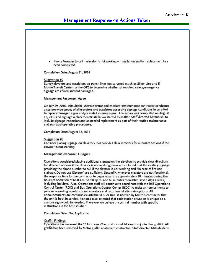